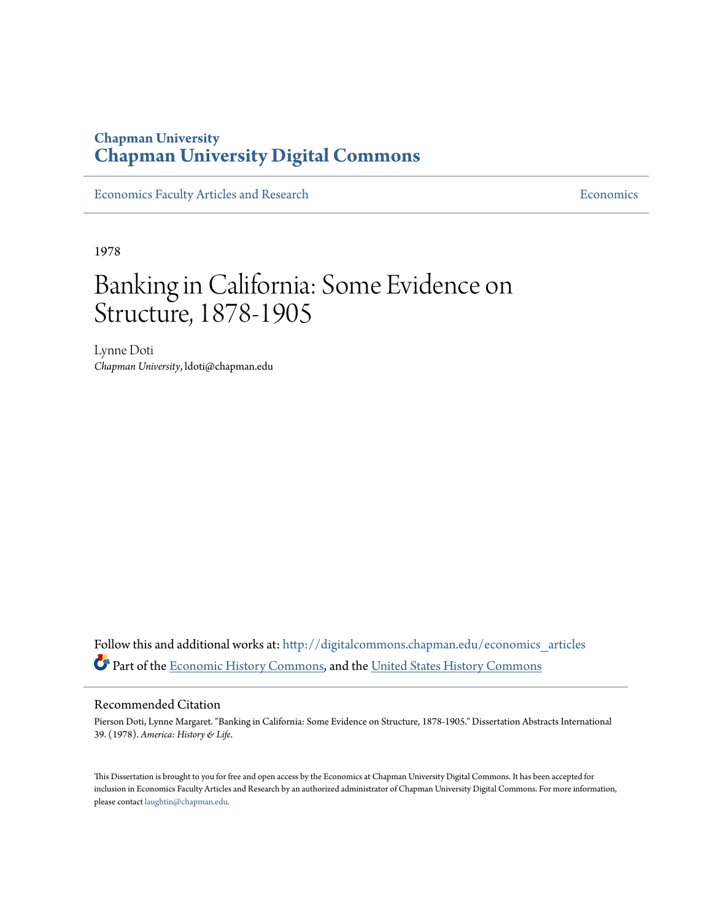## **Chapman University [Chapman University Digital Commons](http://digitalcommons.chapman.edu?utm_source=digitalcommons.chapman.edu%2Feconomics_articles%2F138&utm_medium=PDF&utm_campaign=PDFCoverPages)**

[Economics Faculty Articles and Research](http://digitalcommons.chapman.edu/economics_articles?utm_source=digitalcommons.chapman.edu%2Feconomics_articles%2F138&utm_medium=PDF&utm_campaign=PDFCoverPages) **[Economics](http://digitalcommons.chapman.edu/economics?utm_source=digitalcommons.chapman.edu%2Feconomics_articles%2F138&utm_medium=PDF&utm_campaign=PDFCoverPages)** Economics

1978

# Banking in California: Some Evidence on Structure, 1878-1905

Lynne Doti *Chapman University*, ldoti@chapman.edu

Follow this and additional works at: [http://digitalcommons.chapman.edu/economics\\_articles](http://digitalcommons.chapman.edu/economics_articles?utm_source=digitalcommons.chapman.edu%2Feconomics_articles%2F138&utm_medium=PDF&utm_campaign=PDFCoverPages) Part of the [Economic History Commons,](http://network.bepress.com/hgg/discipline/343?utm_source=digitalcommons.chapman.edu%2Feconomics_articles%2F138&utm_medium=PDF&utm_campaign=PDFCoverPages) and the [United States History Commons](http://network.bepress.com/hgg/discipline/495?utm_source=digitalcommons.chapman.edu%2Feconomics_articles%2F138&utm_medium=PDF&utm_campaign=PDFCoverPages)

#### Recommended Citation

Pierson Doti, Lynne Margaret. "Banking in California: Some Evidence on Structure, 1878-1905." Dissertation Abstracts International 39. (1978). *America: History & Life*.

This Dissertation is brought to you for free and open access by the Economics at Chapman University Digital Commons. It has been accepted for inclusion in Economics Faculty Articles and Research by an authorized administrator of Chapman University Digital Commons. For more information, please contact [laughtin@chapman.edu.](mailto:laughtin@chapman.edu)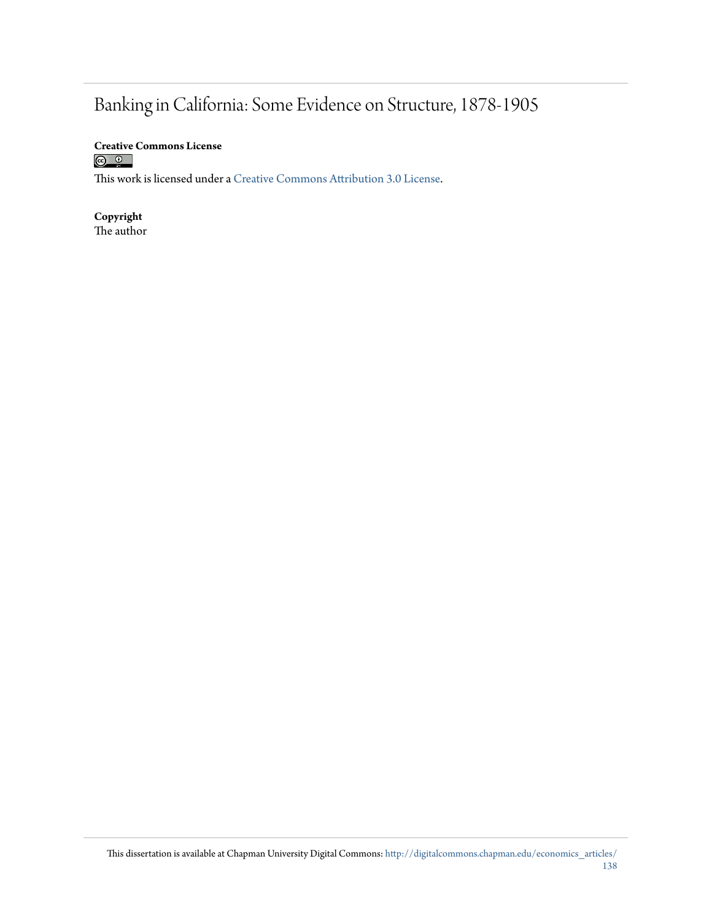# Banking in California: Some Evidence on Structure, 1878-1905

**Creative Commons License**<br> **<b>a 0**<br> **a 0** 

This work is licensed under a [Creative Commons Attribution 3.0 License.](http://creativecommons.org/licenses/by/3.0/)

**Copyright** The author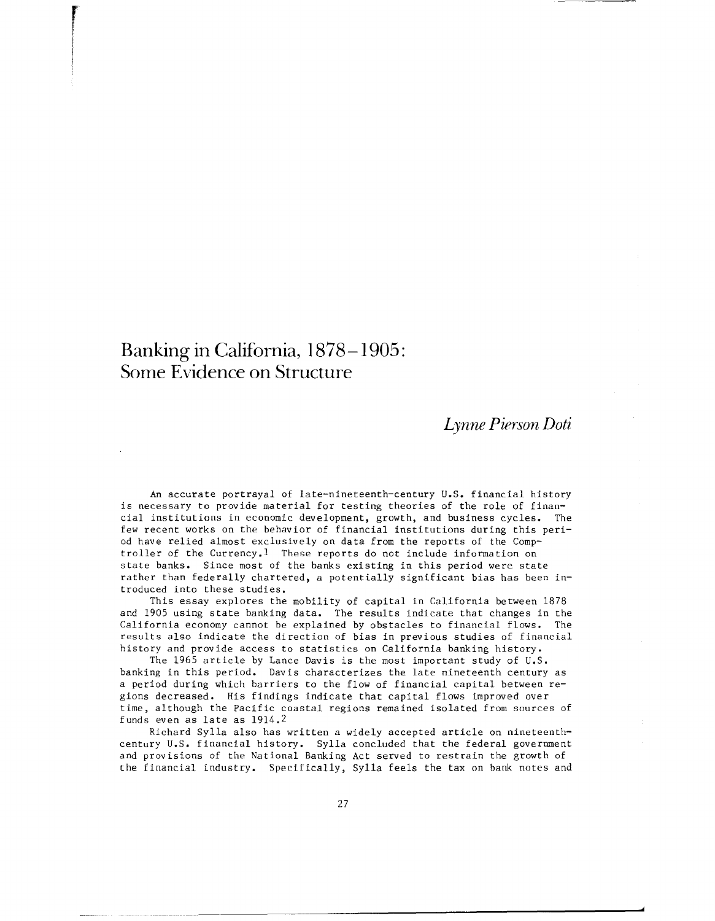## **Banking in California, 1878-1905: Some Evidence on Structure**

re de la companya de la companya de la companya de la companya de la companya de la companya de la companya de<br>La companya de la companya de la companya de la companya de la companya de la companya de la companya de la co

### *Lynne Pierson Dati*

An accurate portrayal of late-nineteenth-century U.S. financial history is necessary to provide material for testing theories of the role of financial institutions in economic development, growth, and business cycles. The few recent works on the behavior of financial institutions during this period have relied almost exclusively on data from the reports of the Comptroller of the Currency.l These reports do not include information on state banks. Since most of the banks existing in this period were state rather than federally chartered, a potentially significant bias has been introduced into these studies.

This essay explores the mobility of capital in California between 1878 and 1905 using state banking data. The results indicate that changes in the California economy cannot be explained by obstacles to financial flows. The results also indicate the direction of bias in previous studies of financial history and provide access to statistics on California banking history.

The 1965 article by Lance Davis is the most important study of U.S. banking in this period. Davis characterizes the late nineteenth century as a period during which barriers to the flow of financial capital between regions decreased. His findings indicate that capital flows improved over time, although the Pacific coastal regions remained isolated from sources of funds even as late as 1914.2

Richard Sylla also has written a widely accepted article on nineteenthcentury U.S. financial history. Sylla concluded that the federal government and provisions of the National Banking Act served to restrain the growth of the financial industry. Specifically, Sylla feels the tax on bank notes and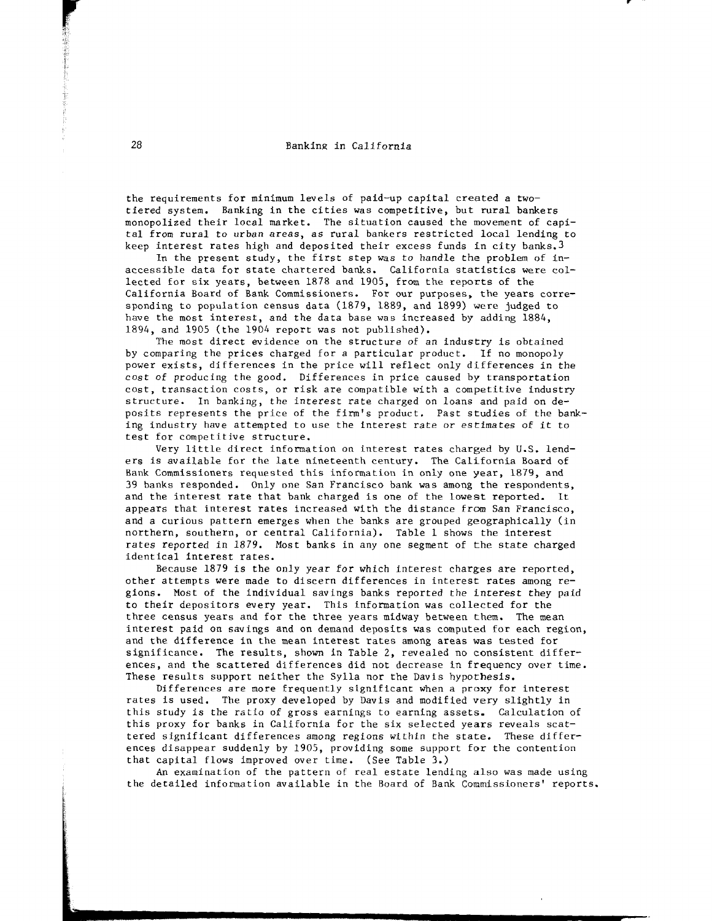the requirements for m1n1mum levels of paid-up capital created a twotiered system. Banking in the cities was competitive, but rural bankers monopolized their local market. The situation caused the movement of capital from rural to urban areas, *as* rural bankers restricted local lending to keep interest rates high and deposited their excess funds in city banks.3

In the present study, the first step was to handle the problem of  $in$ accessible data for state chartered banks. California statistics were collected for six years, between 1878 and 1905, from the reports of the California Board of Bank Commissioners. For our purposes, the years corresponding to population census data (1879, 1889, and 1899) were judged to have the most interest, and the data base was increased by adding 1884, 1894, and 1905 (the 1904 report was not published).

The most direct evidence on the structure of an industry is obtained by comparing the prices charged for a particular product. If no monopoly power exists, differences in the price will reflect only differences in the cost of producing the good. Differences in price caused by transportation cost, transaction costs, or risk are compatible with a competitive industry structure. In banking, the interest rate charged on loans and paid on deposits represents the price of the firm's product. Past studies of the banking industry have attempted to use the interest rate or estimates of it to test for competitive structure.

Very little direct information on interest rates charged by U.S. lenders is available for the late nineteenth century. The California Board of Bank Commissioners requested this information in only one year, 1879, and 39 banks responded. Only one San Francisco bank was among the respondents, and the interest rate that bank charged is one of the lowest reported. It appears that interest rates increased with the distance from San Francisco, and a curious pattern emerges when the banks are grouped geographically (in northern, southern, or central California). Table 1 shows the interest rates reported in 1879. Most banks in any one segment of the state charged identical interest rates.

Because 1879 is the only year for which interest charges are reported, other attempts were made to discern differences in interest rates among regions. Most of the individual savings banks reported the interest they paid to their depositors every year. This information was collected for the three census years and for the three years midway between them. The mean interest paid on savings and on demand deposits was computed for each region, and the difference in the mean interest rates among areas was tested for significance. The results, shown in Table 2, revealed no consistent differences, and the scattered differences did not decrease in frequency over time. These results support neither the Sylla nor the Davis hypothesis.

Differences are more frequently significant when a proxy for interest rates is used. The proxy developed by Davis and modified very slightly in this study is the ratio of gross earnings to earning assets. Calculation of this proxy for banks in California for the six selected years reveals scattered significant differences among regions within the state. These differences disappear suddenly by 1905, providing some support for the contention that capital flows improved over time. (See Table 3.)

An examination of the pattern of real estate lending also was made using the detailed information available in the Board of Bank Commissioners' reports.

r :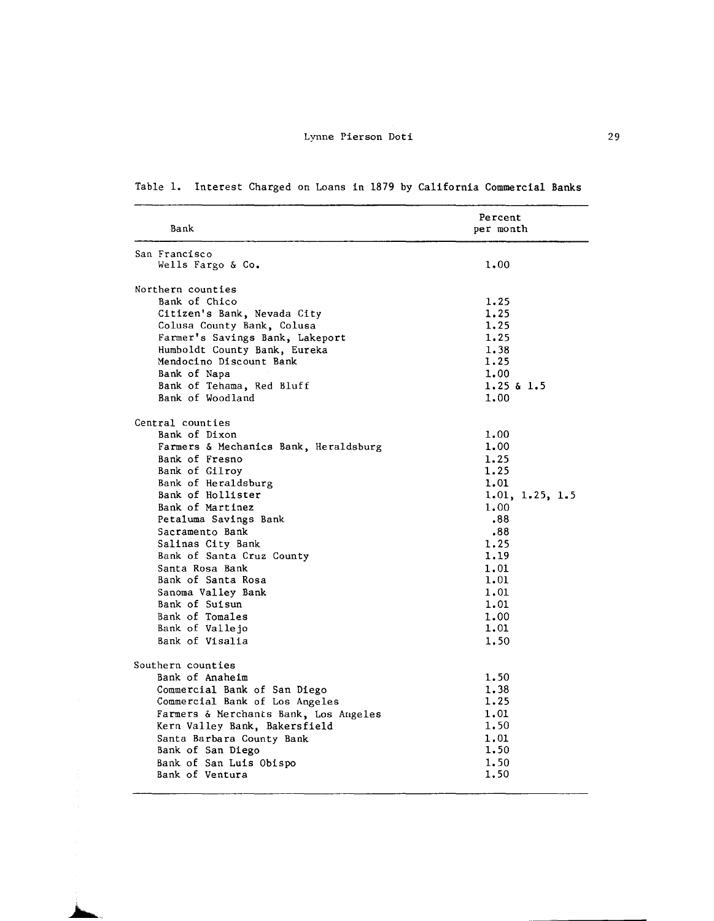| Bank                                  | Percent<br>per month |
|---------------------------------------|----------------------|
| San Francisco                         |                      |
| Wells Fargo & Co.                     | 1.00                 |
| Northern counties                     |                      |
| Bank of Chico                         | 1.25                 |
| Citizen's Bank, Nevada City           | 1.25                 |
| Colusa County Bank, Colusa            | 1.25                 |
| Farmer's Savings Bank, Lakeport       | 1.25                 |
| Humboldt County Bank, Eureka          | 1.38                 |
| Mendocino Discount Bank               | 1.25                 |
| Bank of Napa                          | 1.00                 |
| Bank of Tehama, Red Bluff             | $1.25$ & $1.5$       |
| Bank of Woodland                      | 1.00                 |
| Central counties                      |                      |
| Bank of Dixon                         | 1.00                 |
| Farmers & Mechanics Bank, Heraldsburg | 1.00                 |
| Bank of Fresno                        | 1.25                 |
| Bank of Gilroy                        | 1.25                 |
| Bank of Heraldsburg                   | 1.01                 |
| Bank of Hollister                     | 1.01, 1.25, 1.5      |
| Bank of Martinez                      | 1.00                 |
| Petaluma Savings Bank                 | .88                  |
| Sacramento Bank                       | .88                  |
| Salinas City Bank                     | 1.25                 |
| Bank of Santa Cruz County             | 1.19                 |
| Santa Rosa Bank                       | 1.01                 |
| Bank of Santa Rosa                    | 1.01                 |
| Sanoma Valley Bank                    | 1.01                 |
| Bank of Suisun                        | 1.01                 |
| Bank of Tomales                       | 1.00                 |
| Bank of Vallejo                       | 1.01                 |
| Bank of Visalia                       | 1.50                 |
| Southern counties                     |                      |
| Bank of Anaheim                       | 1.50                 |
| Commercial Bank of San Diego          | 1.38                 |
| Commercial Bank of Los Angeles        | 1.25                 |
| Farmers & Merchants Bank, Los Augeles | 1.01                 |
| Kern Valley Bank, Bakersfield         | 1.50                 |
| Santa Barbara County Bank             | 1.01                 |
| Bank of San Diego                     | 1.50                 |
| Bank of San Luis Obispo               | 1.50                 |
| Bank of Ventura                       | 1.50                 |
|                                       |                      |

### Table 1. Interest Charged on Loans in 1879 by California Commercial Banks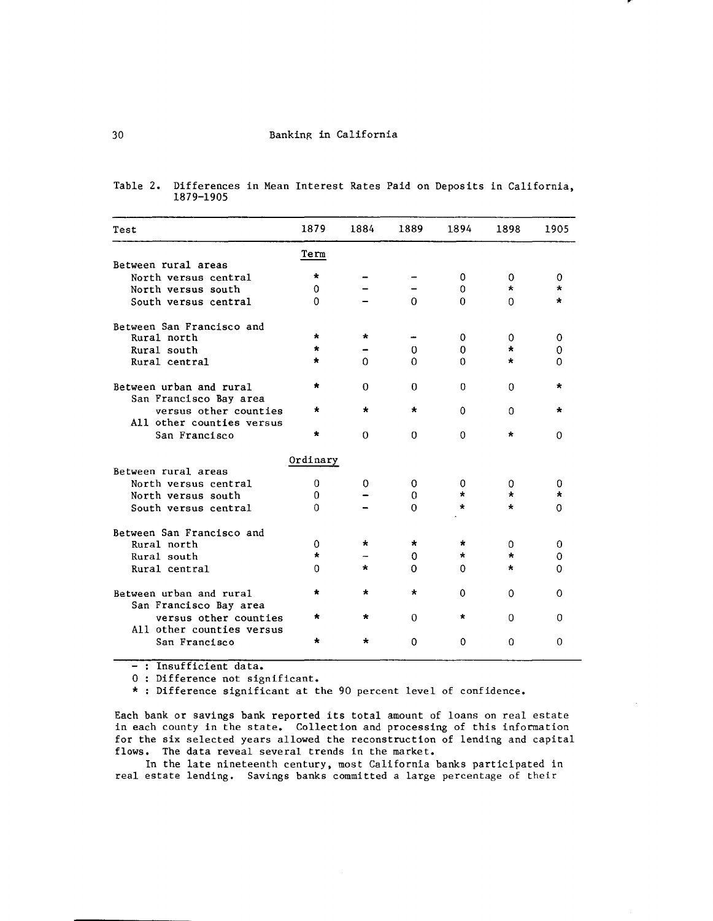| Test                                               | 1879     | 1884     | 1889        | 1894         | 1898     | 1905     |
|----------------------------------------------------|----------|----------|-------------|--------------|----------|----------|
|                                                    | Term     |          |             |              |          |          |
| Between rural areas                                |          |          |             |              |          |          |
| North versus central                               | $\star$  |          |             | 0            | 0        | 0        |
| North versus south                                 | 0        |          |             | 0            | $\star$  |          |
| South versus central                               | $\Omega$ |          | $\Omega$    | 0            | $\Omega$ | ÷        |
| Between San Francisco and                          |          |          |             |              |          |          |
| Rural north                                        | $\star$  | $\star$  |             | $\Omega$     | 0        | $\Omega$ |
| Rural south                                        | $\star$  |          | $\mathbf 0$ | $\mathbf{O}$ | $\star$  | 0        |
| Rural central                                      | $\star$  | $\Omega$ | $\Omega$    | $\Omega$     | $\star$  | 0        |
| Between urban and rural<br>San Francisco Bay area  | *        | $\Omega$ | $\Omega$    | $\Omega$     | $\Omega$ | ×        |
| versus other counties<br>All other counties versus | ÷        | $\star$  | $\star$     | $\Omega$     | $\Omega$ | $\star$  |
| San Francisco                                      | $\star$  | $\Omega$ | $\Omega$    | $\Omega$     | $\star$  | 0        |
|                                                    | Ordinary |          |             |              |          |          |
| Between rural areas                                |          |          |             |              |          |          |
| North versus central                               | 0        | 0        | 0           | 0            | 0        | 0        |
| North versus south                                 | $\Omega$ |          | 0           | $\star$      | ÷        |          |
| South versus central                               | $\Omega$ |          | $\mathbf 0$ | $\star$      | *        | 0        |
| Between San Francisco and                          |          |          |             |              |          |          |
| Rural north                                        | 0        | $\star$  | $\star$     | $\star$      | 0        | 0        |
| Rural south                                        | ÷        |          | 0           | $\star$      | $\star$  | 0        |
| Rural central                                      | 0        | $\star$  | 0           | 0            | $^\star$ | 0        |
| Between urban and rural<br>San Francisco Bay area  | *        | $\star$  | $\star$     | 0            | 0        | Ω        |
| versus other counties<br>All other counties versus | *        | $\star$  | $\Omega$    | $\star$      | O        | 0        |
| San Francisco                                      | $\star$  | $\star$  | $\Omega$    | $\Omega$     | $\Omega$ | $\Omega$ |

Table 2. Differences in Mean Interest Rates Paid on Deposits in California, 1879-1905

-: Insufficient data.

0 : Difference not significant.

\* : Difference significant at the 90 percent level of confidence.

Each bank or savings bank reported its total amount of loans on real estate in each county in the state. Collection and processing of this information for the six selected years allowed the reconstruction of lending and capital flows. The data reveal several trends in the market.

In the late nineteenth century, most California banks participated in real estate lending. Savings banks committed a large percentage of their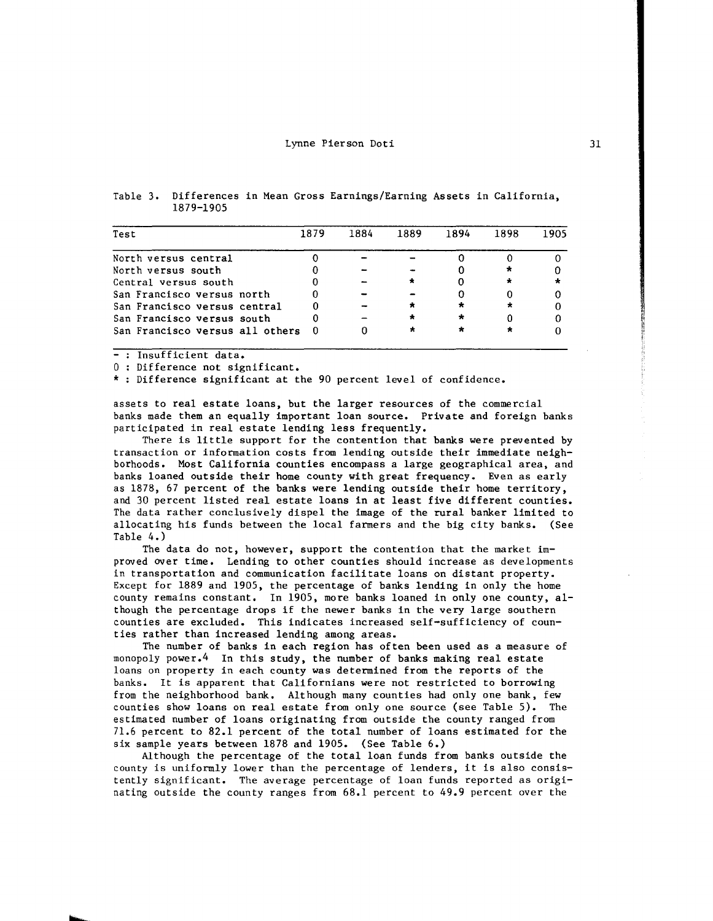| Test                            | 1879 | 1884 | 1889      | 1894    | 1898 | 1905 |
|---------------------------------|------|------|-----------|---------|------|------|
| North versus central            |      |      |           |         |      |      |
| North versus south              |      |      |           |         | ×    |      |
| Central versus south            |      |      |           |         |      |      |
| San Francisco versus north      |      |      |           |         |      |      |
| San Francisco versus central    |      |      |           | *       |      |      |
| San Francisco versus south      |      |      | ÷         | $\star$ |      |      |
| San Francisco versus all others |      |      | $\bullet$ |         |      |      |

Table 3. Differences in Mean Gross Earnings/Earning Assets in California, 1879-1905

- : Insufficient data,

0 : Difference not significant.

\* : Difference significant at the 90 percent level of confidence.

assets to real estate loans, but the larger resources of the commercial banks made them an equally important loan source. Private and foreign banks participated in real estate lending less frequently.

There is little support for the contention that banks were prevented by transaction or information costs from lending outside their immediate neighborhoods. Most California counties encompass a large geographical area, and banks loaned outside their home county with great frequency. Even as early as 1878, 67 percent of the banks were lending outside their home territory, and 30 percent listed real estate loans in at least five different counties. The data rather conclusively dispel the image of the rural banker limited to allocating his funds between the local farmers and the big city banks. (See Table 4.)

The data do not, however, support the contention that the market improved over time. Lending to other counties should increase as developments in transportation and communication facilitate loans on distant property. Except for 1889 and 1905, the percentage of banks lending in only the home county remains constant. In 1905, more banks loaned in only one county, although the percentage drops if the newer banks in the very large southern counties are excluded. This indicates increased self-sufficiency of counties rather than increased lending among areas.

The number of banks in each region has often been used as a measure of monopoly power.4 In this study, the number of banks making real estate loans on property in each county was determined from the reports of the banks. It is apparent that Californians were not restricted to borrowing from the neighborhood bank. Although many counties had only one bank, few counties show loans on real estate from only one source (see Table 5). The estimated number of loans originating from outside the county ranged from 71.6 percent to 82.1 percent of the total number of loans estimated for the six sample years between 1878 and 1905. (See Table 6.)

Although the percentage of the total loan funds from banks outside the county is uniformly lower than the percentage of lenders, it is also consistently significant. The average percentage of loan funds reported as originating outside the county ranges from 68.1 percent to 49.9 percent over the

~ ii ra dheer ah<br>Baratan ah<br>Baratan ah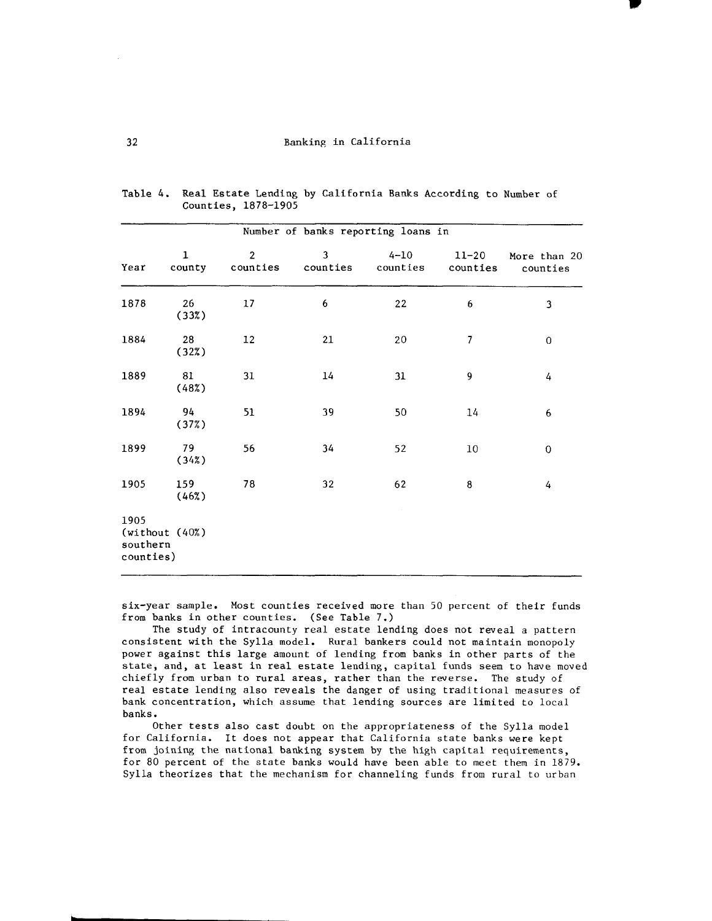$\blacksquare$ 

| Number of banks reporting loans in              |                        |                            |               |                      |                          |                          |  |  |
|-------------------------------------------------|------------------------|----------------------------|---------------|----------------------|--------------------------|--------------------------|--|--|
| Year                                            | $\mathbf{1}$<br>county | $\overline{2}$<br>counties | 3<br>counties | $4 - 10$<br>counties | $11 - 20$<br>counties    | More than 20<br>counties |  |  |
| 1878                                            | 26<br>(33%)            | 17                         | 6             | 22                   | 6                        | 3                        |  |  |
| 1884                                            | 28<br>(32%)            | $12\,$                     | 21            | 20                   | $\overline{\phantom{a}}$ | 0                        |  |  |
| 1889                                            | 81<br>(48%)            | 31                         | 14            | 31                   | 9                        | 4                        |  |  |
| 1894                                            | 94<br>(37%)            | 51                         | 39            | 50                   | 14                       | 6                        |  |  |
| 1899                                            | 79<br>(342)            | 56                         | 34            | 52                   | $10\,$                   | $\mathbf 0$              |  |  |
| 1905                                            | 159<br>(46%)           | 78                         | 32            | 62                   | 8                        | 4                        |  |  |
| 1905<br>(without (40%)<br>southern<br>counties) |                        |                            |               |                      |                          |                          |  |  |

Table 4. Real Estate Lending by California Banks According to Number of Counties, 1878-1905

six-year sample. Most counties received more than 50 percent of their funds from banks in other counties. (See Table 7.)

The study of intracounty real estate lending does not reveal a pattern consistent with the Sylla model. Rural bankers could not maintain monopoly power against this large amount of lending from banks in other parts of the state, and, at least in real estate lending, capital funds seem to have moved chiefly from urban to rural areas, rather than the reverse. The study of real estate lending also reveals the danger of using traditional measures of bank concentration, which assume that lending sources are limited to local banks.

Other tests also cast doubt on the appropriateness of the Sylla model for California. It does not appear that California state banks were kept from joining the national banking system by the high capital requirements, for 80 percent of the state banks would have been able to meet them in 1879. Sylla theorizes that the mechanism for channeling funds from rural to urban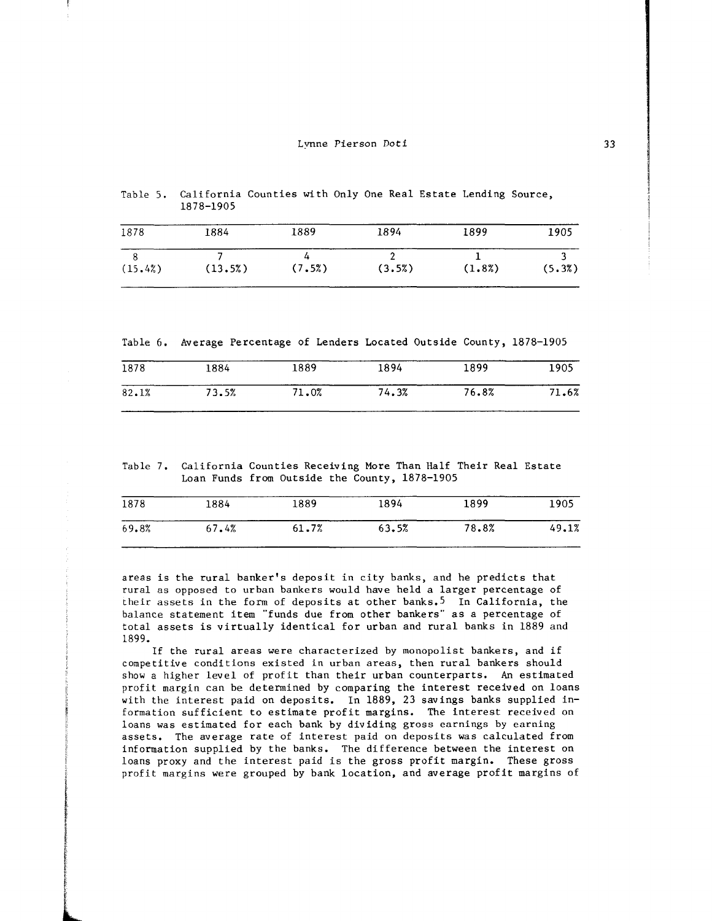|             | Table 5. California Counties with Only One Real Estate Lending Source.<br>1878-1905 |       |  |         |             |          |  |
|-------------|-------------------------------------------------------------------------------------|-------|--|---------|-------------|----------|--|
| <b>1070</b> | 100L                                                                                | 1000. |  | າ ດ ດ ໄ | <b>1000</b> | $\cdots$ |  |

| 1878    | 1884    | 1889   | 1894   | 1899   | 1905   |
|---------|---------|--------|--------|--------|--------|
|         |         |        |        |        |        |
| (15.4%) | (13.5%) | (7.5%) | (3.5%) | (1.8%) | (5.3%) |

Table 6. Average Percentage of Lenders Located Outside County, 1878-1905

| 1878  | 1884  | 1889  | 1894  | 1899  | 1905  |
|-------|-------|-------|-------|-------|-------|
| 82.1% | 73.5% | 71.0% | 74.3% | 76.8% | 71.6% |

Table 7. California Counties Receiving More Than Half Their Real Estate Loan Funds from Outside the County, 1878-1905

| 1878  | 1884  | 1889  | 1894  | 1899  | 1905  |
|-------|-------|-------|-------|-------|-------|
| 69.8% | 67.4% | 61.7% | 63.5% | 78.8% | 49.1% |

areas is the rural banker's deposit in city banks, and he predicts that rural as opposed to urban bankers would have held a larger percentage of their assets in the form of deposits at other banks,5 In California, the balance statement item "funds due from other bankers" as a percentage of total assets is virtually identical for urban and rural banks in 1889 and 1899.

If the rural areas were characterized by monopolist bankers, and if competitive conditions existed in urban areas, then rural bankers should show a higher level of profit than their urban counterparts. An estimated profit margin can be determined by comparing the interest received on loans with the interest paid on deposits. In 1889, 23 savings banks supplied information sufficient to estimate profit margins. The interest received on loans was estimated for each bank by dividing gross earnings by earning assets. The average rate of interest paid on deposits was calculated from information supplied by the banks. The difference between the interest on loans proxy and the interest paid is the gross profit margin. These gross profit margins were grouped by bank location, and average profit margins of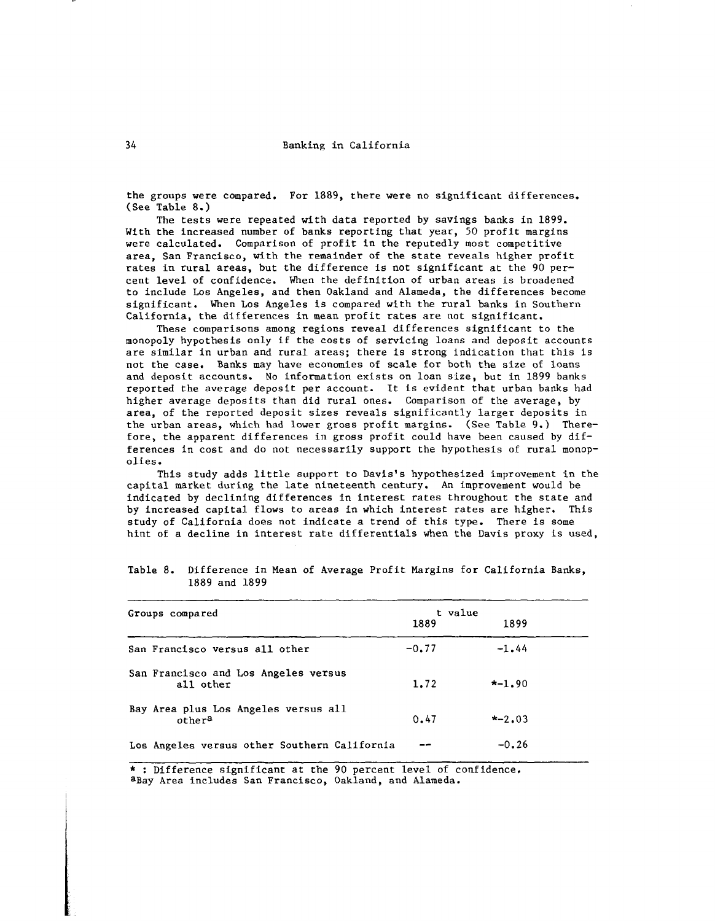the groups were compared. For 1889, there were no significant differences. (See Table 8.)

The tests were repeated with data reported by savings banks in 1899. With the increased number of banks reporting that year, 50 profit margins were calculated. Comparison of profit in the reputedly most competitive area, San Francisco, with the remainder of the state reveals higher profit rates in rural areas, but the difference is not significant at the 90 percent level of confidence. When the definition of urban areas is broadened to include Los Angeles, and then Oakland and Alameda, the differences become significant. When Los Angeles is compared with the rural banks in Southern California, the differences in mean profit rates are not significant.

These comparisons among regions reveal differences significant to the monopoly hypothesis only if the costs of servicing loans and deposit accounts are similar in urban and rural areas; there is strong indication that this is not the case. Banks may have economies of scale for both the size of loans and deposit accounts. No information exists on loan size, but in 1899 banks reported the average deposit per account. It is evident that urban banks had higher average deposits than did rural ones. Comparison of the average, by area, of the reported deposit sizes reveals significantly larger deposits in the urban areas, which had lower gross profit margins. (See Table 9.) Therefore, the apparent differences in gross profit could have been caused by differences in cost and do not necessarily support the hypothesis of rural monopolies.

This study adds little support to Davis's hypothesized improvement in the capital market during the late nineteenth century. An improvement would be indicated by declining differences in interest rates throughout the state and by increased capital flows to areas in which interest rates are higher. This study of California does not indicate a trend of this type. There is some hint of a decline in interest rate differentials when the Davis proxy is used,

| Groups compared                                            | t value |            |  |
|------------------------------------------------------------|---------|------------|--|
|                                                            | 1889    | 1899       |  |
| San Francisco versus all other                             | $-0.77$ | $-1.44$    |  |
| San Francisco and Los Angeles versus<br>all other          | 1.72    | $* - 1.90$ |  |
| Bay Area plus Los Angeles versus all<br>other <sup>a</sup> | 0.47    | $* - 2.03$ |  |
| Los Angeles versus other Southern California               |         | $-0.26$    |  |

Table 8. Difference in Mean of Average Profit Margins for California Banks, 1889 and 1899

\* : Difference significant at the 90 percent level of confidence. aBay Area includes San Francisco, Oakland, and Alameda.